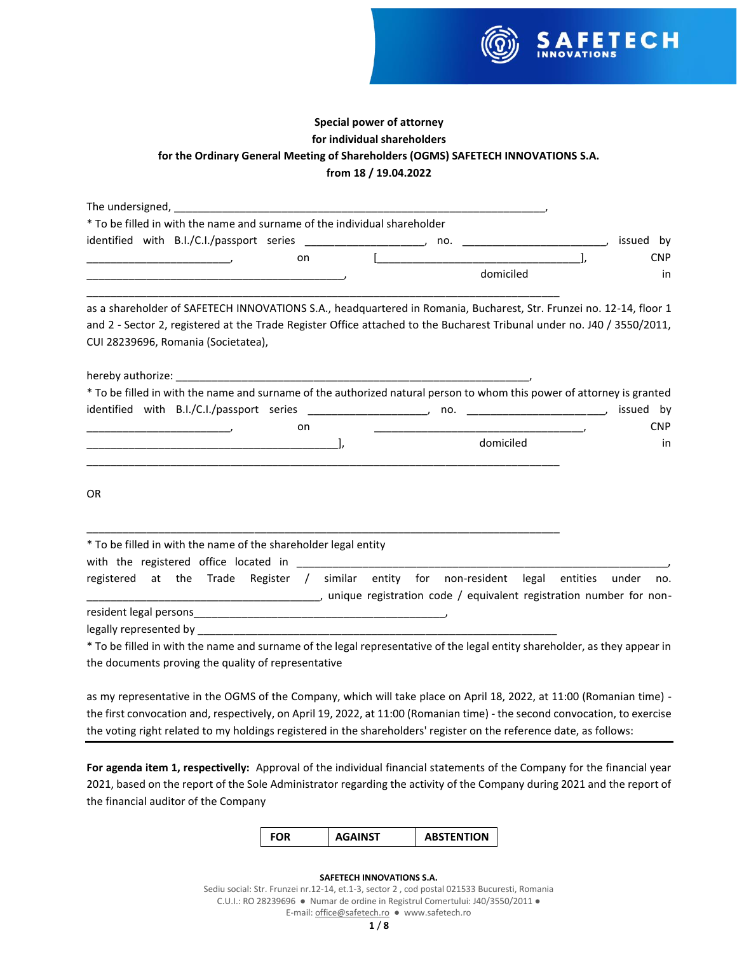

# **Special power of attorney for individual shareholders for the Ordinary General Meeting of Shareholders (OGMS) SAFETECH INNOVATIONS S.A. from 18 / 19.04.2022**

| * To be filled in with the name and surname of the individual shareholder                                                                                                                                                                                                             |  |                |  |            |
|---------------------------------------------------------------------------------------------------------------------------------------------------------------------------------------------------------------------------------------------------------------------------------------|--|----------------|--|------------|
| identified with B.I./C.I./passport series ________________________, no. ___________________________                                                                                                                                                                                   |  |                |  | issued by  |
| on                                                                                                                                                                                                                                                                                    |  |                |  | <b>CNP</b> |
|                                                                                                                                                                                                                                                                                       |  | domiciled      |  | in         |
| as a shareholder of SAFETECH INNOVATIONS S.A., headquartered in Romania, Bucharest, Str. Frunzei no. 12-14, floor 1<br>and 2 - Sector 2, registered at the Trade Register Office attached to the Bucharest Tribunal under no. J40 / 3550/2011,<br>CUI 28239696, Romania (Societatea), |  |                |  |            |
|                                                                                                                                                                                                                                                                                       |  |                |  |            |
| * To be filled in with the name and surname of the authorized natural person to whom this power of attorney is granted                                                                                                                                                                |  |                |  |            |
|                                                                                                                                                                                                                                                                                       |  | $\mathsf{no.}$ |  | issued by  |
| on<br><u> 1989 - Johann Harry Barn, mars ar breist ar yn y breist y breist yn y breist ar y breist ar y breist ar y breis</u>                                                                                                                                                         |  |                |  | <b>CNP</b> |
|                                                                                                                                                                                                                                                                                       |  | domiciled      |  | in         |
| <b>OR</b>                                                                                                                                                                                                                                                                             |  |                |  |            |
| * To be filled in with the name of the shareholder legal entity                                                                                                                                                                                                                       |  |                |  |            |
|                                                                                                                                                                                                                                                                                       |  |                |  |            |
| registered at the Trade Register / similar entity for non-resident legal entities under                                                                                                                                                                                               |  |                |  | no.        |
|                                                                                                                                                                                                                                                                                       |  |                |  |            |
|                                                                                                                                                                                                                                                                                       |  |                |  |            |
| * To be filled in with the name and surname of the legal representative of the legal entity shareholder, as they appear in                                                                                                                                                            |  |                |  |            |
| the documents proving the quality of representative                                                                                                                                                                                                                                   |  |                |  |            |
| as my representative in the OGMS of the Company, which will take place on April 18, 2022, at 11:00 (Romanian time)                                                                                                                                                                    |  |                |  |            |

as my representative in the OGMS of the Company, which will take place on April 18, 2022, at 11:00 (Romanian time) the first convocation and, respectively, on April 19, 2022, at 11:00 (Romanian time) - the second convocation, to exercise the voting right related to my holdings registered in the shareholders' register on the reference date, as follows:

**For agenda item 1, respectivelly:** Approval of the individual financial statements of the Company for the financial year 2021, based on the report of the Sole Administrator regarding the activity of the Company during 2021 and the report of the financial auditor of the Company



#### **SAFETECH INNOVATIONS S.A.**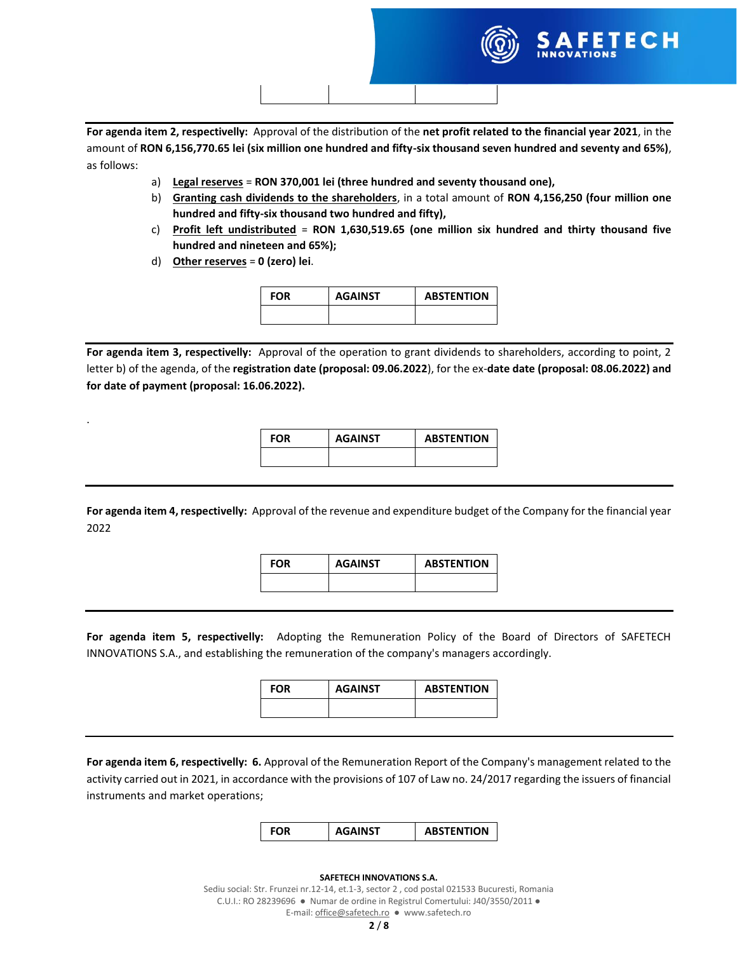

**For agenda item 2, respectivelly:** Approval of the distribution of the **net profit related to the financial year 2021**, in the amount of **RON 6,156,770.65 lei (six million one hundred and fifty-six thousand seven hundred and seventy and 65%)**, as follows:

- a) **Legal reserves** = **RON 370,001 lei (three hundred and seventy thousand one),**
- b) **Granting cash dividends to the shareholders**, in a total amount of **RON 4,156,250 (four million one hundred and fifty-six thousand two hundred and fifty),**
- c) **Profit left undistributed** = **RON 1,630,519.65 (one million six hundred and thirty thousand five hundred and nineteen and 65%);**
- d) **Other reserves** = **0 (zero) lei**.

.

| <b>FOR</b> | <b>AGAINST</b> | <b>ABSTENTION</b> |
|------------|----------------|-------------------|
|            |                |                   |

**For agenda item 3, respectivelly:** Approval of the operation to grant dividends to shareholders, according to point, 2 letter b) of the agenda, of the **registration date (proposal: 09.06.2022**), for the ex-**date date (proposal: 08.06.2022) and for date of payment (proposal: 16.06.2022).**

| <b>FOR</b> | <b>AGAINST</b> | <b>ABSTENTION</b> |
|------------|----------------|-------------------|
|            |                |                   |

**For agenda item 4, respectivelly:** Approval of the revenue and expenditure budget of the Company for the financial year 2022

| <b>FOR</b> | <b>AGAINST</b> | <b>ABSTENTION</b> |
|------------|----------------|-------------------|
|            |                |                   |

**For agenda item 5, respectivelly:** Adopting the Remuneration Policy of the Board of Directors of SAFETECH INNOVATIONS S.A., and establishing the remuneration of the company's managers accordingly.

| <b>FOR</b> | <b>AGAINST</b> | <b>ABSTENTION</b> |
|------------|----------------|-------------------|
|            |                |                   |

**For agenda item 6, respectivelly: 6.** Approval of the Remuneration Report of the Company's management related to the activity carried out in 2021, in accordance with the provisions of 107 of Law no. 24/2017 regarding the issuers of financial instruments and market operations;



#### **SAFETECH INNOVATIONS S.A.**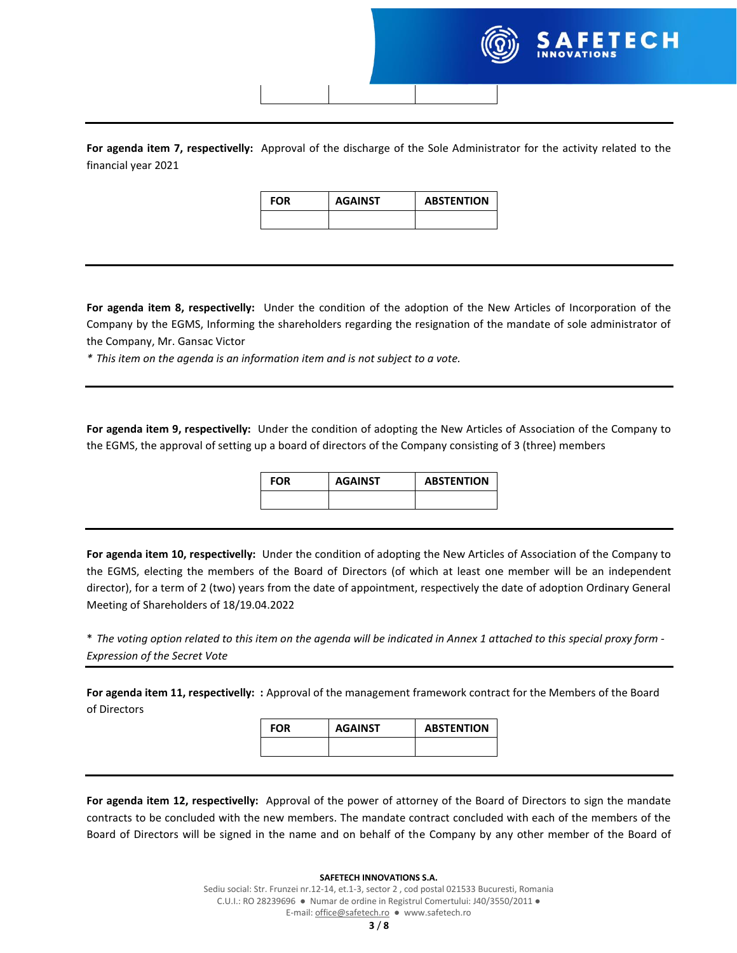**For agenda item 7, respectivelly:** Approval of the discharge of the Sole Administrator for the activity related to the financial year 2021

| <b>FOR</b> | <b>AGAINST</b> | <b>ABSTENTION</b> |
|------------|----------------|-------------------|
|            |                |                   |

**For agenda item 8, respectivelly:** Under the condition of the adoption of the New Articles of Incorporation of the Company by the EGMS, Informing the shareholders regarding the resignation of the mandate of sole administrator of the Company, Mr. Gansac Victor

*\* This item on the agenda is an information item and is not subject to a vote.*

**For agenda item 9, respectivelly:** Under the condition of adopting the New Articles of Association of the Company to the EGMS, the approval of setting up a board of directors of the Company consisting of 3 (three) members

| <b>FOR</b> | <b>AGAINST</b> | <b>ABSTENTION</b> |
|------------|----------------|-------------------|
|            |                |                   |

**For agenda item 10, respectivelly:** Under the condition of adopting the New Articles of Association of the Company to the EGMS, electing the members of the Board of Directors (of which at least one member will be an independent director), for a term of 2 (two) years from the date of appointment, respectively the date of adoption Ordinary General Meeting of Shareholders of 18/19.04.2022

\* *The voting option related to this item on the agenda will be indicated in Annex 1 attached to this special proxy form - Expression of the Secret Vote*

**For agenda item 11, respectivelly: :** Approval of the management framework contract for the Members of the Board of Directors

| <b>FOR</b> | <b>AGAINST</b> | <b>ABSTENTION</b> |
|------------|----------------|-------------------|
|            |                |                   |
|            |                |                   |

**For agenda item 12, respectivelly:** Approval of the power of attorney of the Board of Directors to sign the mandate contracts to be concluded with the new members. The mandate contract concluded with each of the members of the Board of Directors will be signed in the name and on behalf of the Company by any other member of the Board of

#### **SAFETECH INNOVATIONS S.A.**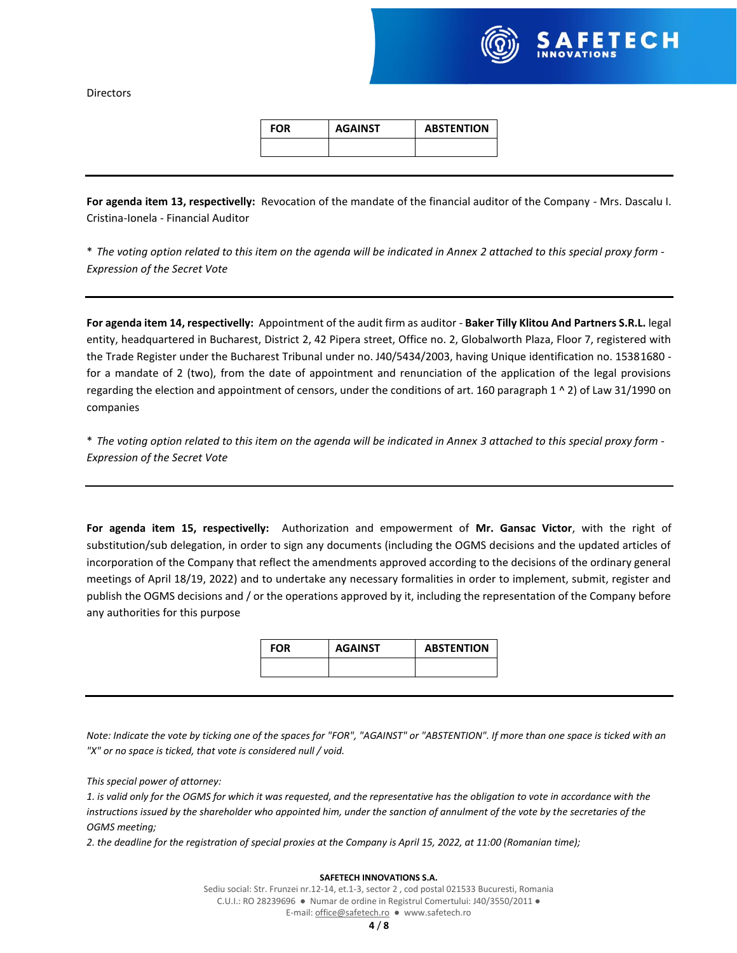

**Directors** 

| FOR | <b>AGAINST</b> | <b>ABSTENTION</b> |
|-----|----------------|-------------------|
|     |                |                   |

**For agenda item 13, respectivelly:** Revocation of the mandate of the financial auditor of the Company - Mrs. Dascalu I. Cristina-Ionela - Financial Auditor

\* *The voting option related to this item on the agenda will be indicated in Annex 2 attached to this special proxy form - Expression of the Secret Vote*

**For agenda item 14, respectivelly:** Appointment of the audit firm as auditor - **Baker Tilly Klitou And Partners S.R.L.** legal entity, headquartered in Bucharest, District 2, 42 Pipera street, Office no. 2, Globalworth Plaza, Floor 7, registered with the Trade Register under the Bucharest Tribunal under no. J40/5434/2003, having Unique identification no. 15381680 for a mandate of 2 (two), from the date of appointment and renunciation of the application of the legal provisions regarding the election and appointment of censors, under the conditions of art. 160 paragraph 1 ^ 2) of Law 31/1990 on companies

\* *The voting option related to this item on the agenda will be indicated in Annex 3 attached to this special proxy form - Expression of the Secret Vote*

**For agenda item 15, respectivelly:** Authorization and empowerment of **Mr. Gansac Victor**, with the right of substitution/sub delegation, in order to sign any documents (including the OGMS decisions and the updated articles of incorporation of the Company that reflect the amendments approved according to the decisions of the ordinary general meetings of April 18/19, 2022) and to undertake any necessary formalities in order to implement, submit, register and publish the OGMS decisions and / or the operations approved by it, including the representation of the Company before any authorities for this purpose

| <b>FOR</b> | <b>AGAINST</b> | <b>ABSTENTION</b> |
|------------|----------------|-------------------|
|            |                |                   |

*Note: Indicate the vote by ticking one of the spaces for "FOR", "AGAINST" or "ABSTENTION". If more than one space is ticked with an "X" or no space is ticked, that vote is considered null / void.*

*This special power of attorney:*

*1. is valid only for the OGMS for which it was requested, and the representative has the obligation to vote in accordance with the instructions issued by the shareholder who appointed him, under the sanction of annulment of the vote by the secretaries of the OGMS meeting;*

*2. the deadline for the registration of special proxies at the Company is April 15, 2022, at 11:00 (Romanian time);*

#### **SAFETECH INNOVATIONS S.A.**

Sediu social: Str. Frunzei nr.12-14, et.1-3, sector 2 , cod postal 021533 Bucuresti, Romania C.U.I.: RO 28239696 ● Numar de ordine in Registrul Comertului: J40/3550/2011 ●

E-mail: office@safetech.ro ● www.safetech.ro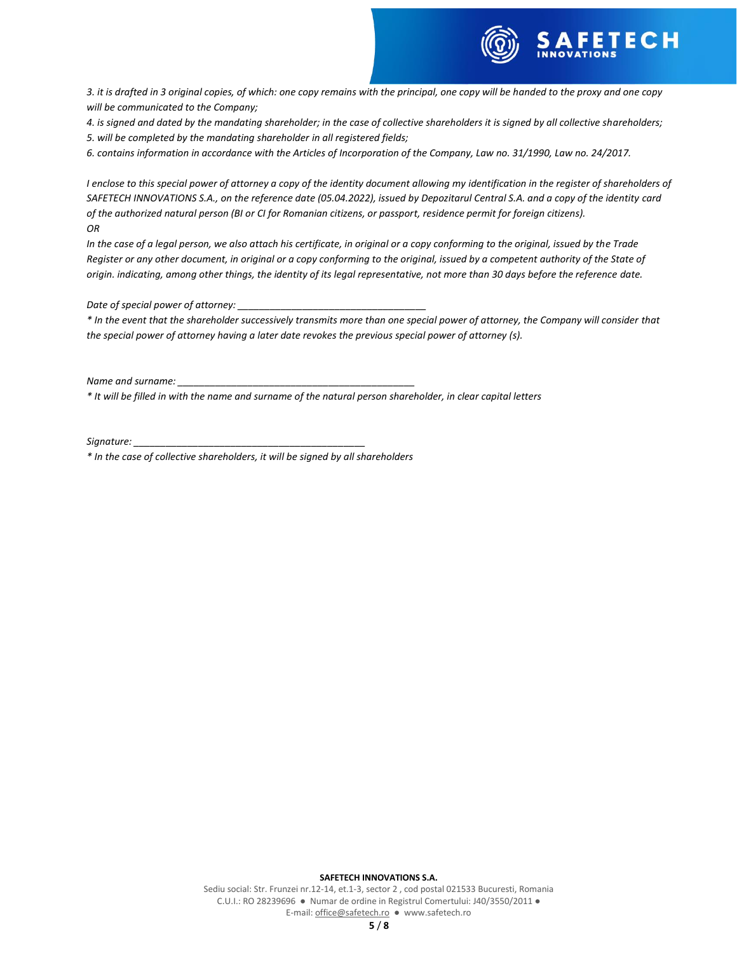

*3. it is drafted in 3 original copies, of which: one copy remains with the principal, one copy will be handed to the proxy and one copy will be communicated to the Company;*

*4. is signed and dated by the mandating shareholder; in the case of collective shareholders it is signed by all collective shareholders; 5. will be completed by the mandating shareholder in all registered fields;*

*6. contains information in accordance with the Articles of Incorporation of the Company, Law no. 31/1990, Law no. 24/2017.*

*I enclose to this special power of attorney a copy of the identity document allowing my identification in the register of shareholders of SAFETECH INNOVATIONS S.A., on the reference date (05.04.2022), issued by Depozitarul Central S.A. and a copy of the identity card of the authorized natural person (BI or CI for Romanian citizens, or passport, residence permit for foreign citizens). OR*

*In the case of a legal person, we also attach his certificate, in original or a copy conforming to the original, issued by the Trade Register or any other document, in original or a copy conforming to the original, issued by a competent authority of the State of origin. indicating, among other things, the identity of its legal representative, not more than 30 days before the reference date.*

*Date of special power of attorney: \_\_\_\_\_\_\_\_\_\_\_\_\_\_\_\_\_\_\_\_\_\_\_\_\_\_\_\_\_\_\_\_\_\_\_*

*\* In the event that the shareholder successively transmits more than one special power of attorney, the Company will consider that the special power of attorney having a later date revokes the previous special power of attorney (s).*

*Name and surname:* 

*\* It will be filled in with the name and surname of the natural person shareholder, in clear capital letters*

*Signature: \_\_\_\_\_\_\_\_\_\_\_\_\_\_\_\_\_\_\_\_\_\_\_\_\_\_\_\_\_\_\_\_\_\_\_\_\_\_\_\_\_\_\_*

*\* In the case of collective shareholders, it will be signed by all shareholders*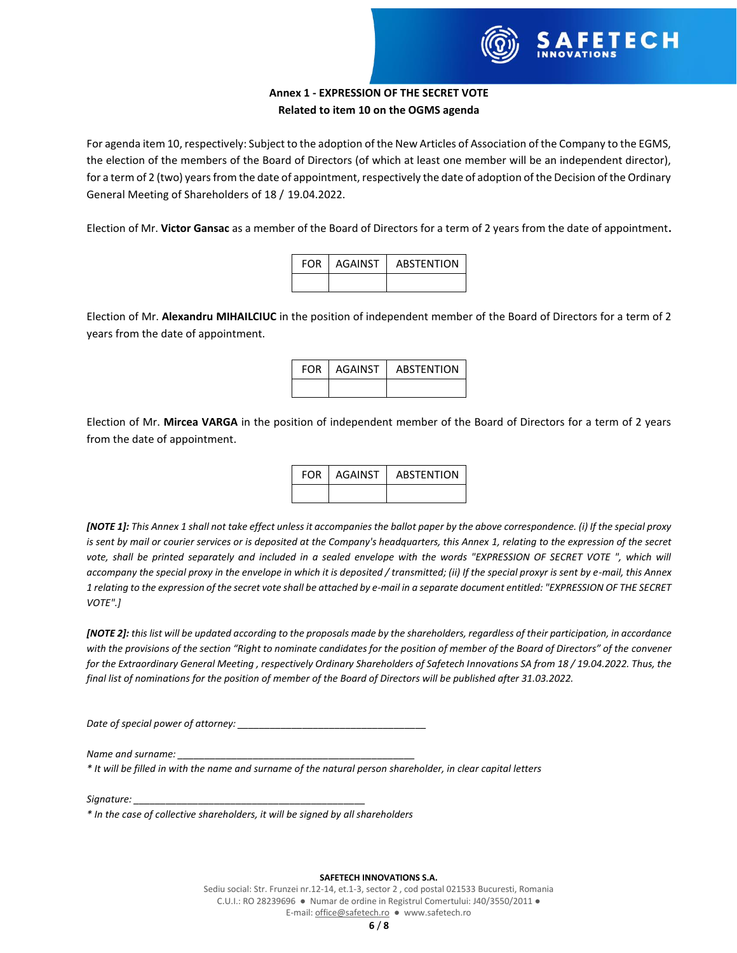

## **Annex 1 - EXPRESSION OF THE SECRET VOTE Related to item 10 on the OGMS agenda**

For agenda item 10, respectively: Subject to the adoption of the New Articles of Association of the Company to the EGMS, the election of the members of the Board of Directors (of which at least one member will be an independent director), for a term of 2 (two) years from the date of appointment, respectively the date of adoption of the Decision of the Ordinary General Meeting of Shareholders of 18 / 19.04.2022.

Election of Mr. **Victor Gansac** as a member of the Board of Directors for a term of 2 years from the date of appointment**.**

| <b>FOR LAGAINST</b> | ABSTENTION |
|---------------------|------------|
|                     |            |

Election of Mr. **Alexandru MIHAILCIUC** in the position of independent member of the Board of Directors for a term of 2 years from the date of appointment.

| FOR LAGAINST | <b>ABSTENTION</b> |
|--------------|-------------------|
|              |                   |

Election of Mr. **Mircea VARGA** in the position of independent member of the Board of Directors for a term of 2 years from the date of appointment.

| FOR. | AGAINST | <b>ABSTENTION</b> |
|------|---------|-------------------|
|      |         |                   |

*[NOTE 1]: This Annex 1 shall not take effect unless it accompanies the ballot paper by the above correspondence. (i) If the special proxy is sent by mail or courier services or is deposited at the Company's headquarters, this Annex 1, relating to the expression of the secret*  vote, shall be printed separately and included in a sealed envelope with the words "EXPRESSION OF SECRET VOTE ", which will *accompany the special proxy in the envelope in which it is deposited / transmitted; (ii) If the special proxyr is sent by e-mail, this Annex 1 relating to the expression of the secret vote shall be attached by e-mail in a separate document entitled: "EXPRESSION OF THE SECRET VOTE".]*

*[NOTE 2]: this list will be updated according to the proposals made by the shareholders, regardless of their participation, in accordance with the provisions of the section "Right to nominate candidates for the position of member of the Board of Directors" of the convener for the Extraordinary General Meeting , respectively Ordinary Shareholders of Safetech Innovations SA from 18 / 19.04.2022. Thus, the final list of nominations for the position of member of the Board of Directors will be published after 31.03.2022.*

*Date of special power of attorney:* 

*Name and surname:* 

*\* It will be filled in with the name and surname of the natural person shareholder, in clear capital letters*

*Signature: \_\_\_\_\_\_\_\_\_\_\_\_\_\_\_\_\_\_\_\_\_\_\_\_\_\_\_\_\_\_\_\_\_\_\_\_\_\_\_\_\_\_\_*

*\* In the case of collective shareholders, it will be signed by all shareholders*

#### **SAFETECH INNOVATIONS S.A.**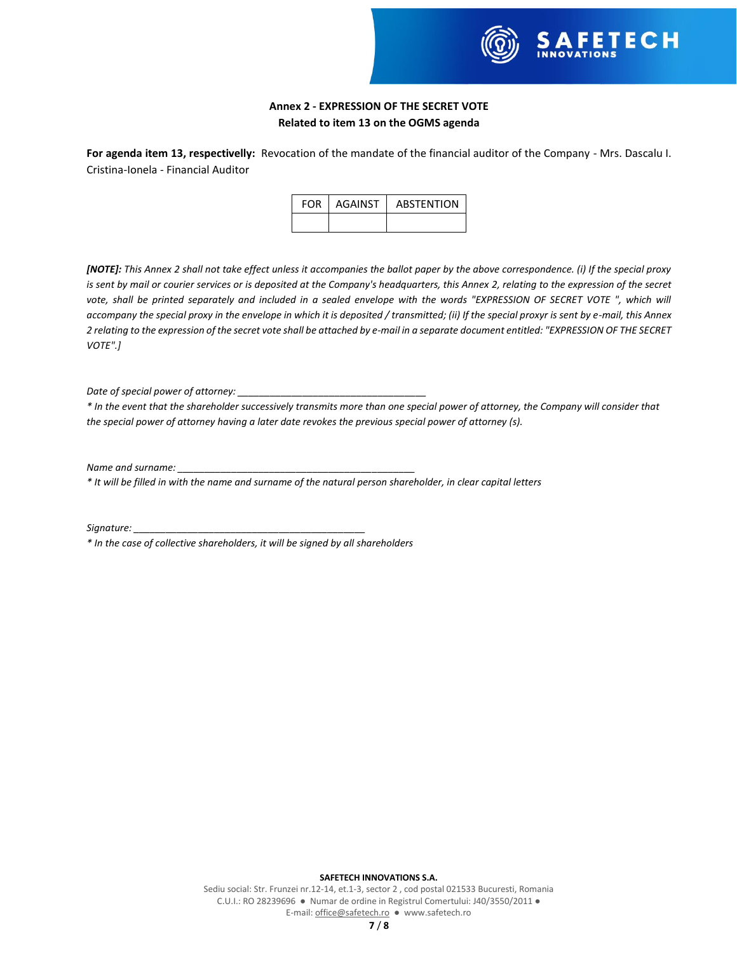

## **Annex 2 - EXPRESSION OF THE SECRET VOTE Related to item 13 on the OGMS agenda**

**For agenda item 13, respectivelly:** Revocation of the mandate of the financial auditor of the Company - Mrs. Dascalu I. Cristina-Ionela - Financial Auditor

| <b>FOR</b> | AGAINST | <b>ABSTENTION</b> |
|------------|---------|-------------------|
|            |         |                   |

*[NOTE]: This Annex 2 shall not take effect unless it accompanies the ballot paper by the above correspondence. (i) If the special proxy is sent by mail or courier services or is deposited at the Company's headquarters, this Annex 2, relating to the expression of the secret*  vote, shall be printed separately and included in a sealed envelope with the words "EXPRESSION OF SECRET VOTE ", which will *accompany the special proxy in the envelope in which it is deposited / transmitted; (ii) If the special proxyr is sent by e-mail, this Annex 2 relating to the expression of the secret vote shall be attached by e-mail in a separate document entitled: "EXPRESSION OF THE SECRET VOTE".]*

*Date of special power of attorney: \_\_\_\_\_\_\_\_\_\_\_\_\_\_\_\_\_\_\_\_\_\_\_\_\_\_\_\_\_\_\_\_\_\_\_*

*\* In the event that the shareholder successively transmits more than one special power of attorney, the Company will consider that the special power of attorney having a later date revokes the previous special power of attorney (s).*

*Name and surname: \_\_\_\_\_\_\_\_\_\_\_\_\_\_\_\_\_\_\_\_\_\_\_\_\_\_\_\_\_\_\_\_\_\_\_\_\_\_\_\_\_\_\_\_*

*\* It will be filled in with the name and surname of the natural person shareholder, in clear capital letters*

*Signature: \_\_\_\_\_\_\_\_\_\_\_\_\_\_\_\_\_\_\_\_\_\_\_\_\_\_\_\_\_\_\_\_\_\_\_\_\_\_\_\_\_\_\_*

*\* In the case of collective shareholders, it will be signed by all shareholders*